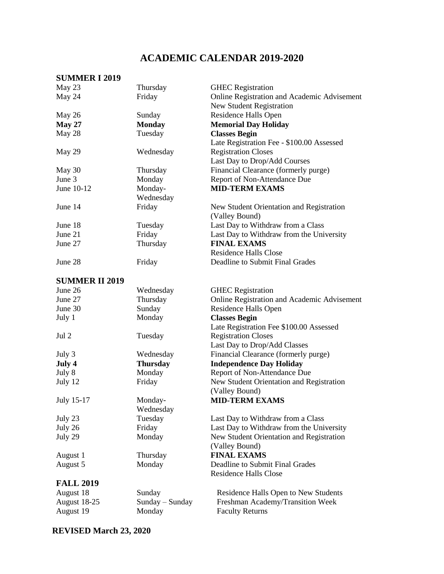## **ACADEMIC CALENDAR 2019-2020**

## **SUMMER I 2019**

| May 23                | Thursday        | <b>GHEC</b> Registration                    |
|-----------------------|-----------------|---------------------------------------------|
| May 24                | Friday          | Online Registration and Academic Advisement |
|                       |                 | <b>New Student Registration</b>             |
| May 26                | Sunday          | Residence Halls Open                        |
| <b>May 27</b>         | <b>Monday</b>   | <b>Memorial Day Holiday</b>                 |
| May 28                | Tuesday         | <b>Classes Begin</b>                        |
|                       |                 | Late Registration Fee - \$100.00 Assessed   |
| May 29                | Wednesday       | <b>Registration Closes</b>                  |
|                       |                 | Last Day to Drop/Add Courses                |
| May 30                | Thursday        | Financial Clearance (formerly purge)        |
| June 3                | Monday          | Report of Non-Attendance Due                |
| June 10-12            | Monday-         | <b>MID-TERM EXAMS</b>                       |
|                       | Wednesday       |                                             |
| June 14               | Friday          | New Student Orientation and Registration    |
|                       |                 | (Valley Bound)                              |
| June 18               | Tuesday         | Last Day to Withdraw from a Class           |
| June 21               | Friday          | Last Day to Withdraw from the University    |
| June 27               | Thursday        | <b>FINAL EXAMS</b>                          |
|                       |                 | <b>Residence Halls Close</b>                |
| June 28               | Friday          | Deadline to Submit Final Grades             |
|                       |                 |                                             |
| <b>SUMMER II 2019</b> |                 |                                             |
| June 26               | Wednesday       | <b>GHEC</b> Registration                    |
| June 27               | Thursday        | Online Registration and Academic Advisement |
| June 30               | Sunday          | Residence Halls Open                        |
| July 1                | Monday          | <b>Classes Begin</b>                        |
|                       |                 | Late Registration Fee \$100.00 Assessed     |
| Jul 2                 | Tuesday         | <b>Registration Closes</b>                  |
|                       |                 | Last Day to Drop/Add Classes                |
| July 3                | Wednesday       | Financial Clearance (formerly purge)        |
| July 4                | <b>Thursday</b> | <b>Independence Day Holiday</b>             |
| July 8                | Monday          | Report of Non-Attendance Due                |
| July 12               | Friday          | New Student Orientation and Registration    |
|                       |                 | (Valley Bound)                              |
| July 15-17            | Monday-         | <b>MID-TERM EXAMS</b>                       |
|                       | Wednesday       |                                             |
| July 23               | Tuesday         | Last Day to Withdraw from a Class           |
| July 26               | Friday          | Last Day to Withdraw from the University    |
| July 29               | Monday          | New Student Orientation and Registration    |
|                       |                 | (Valley Bound)                              |
| August 1              | Thursday        | <b>FINAL EXAMS</b>                          |
| August 5              | Monday          | Deadline to Submit Final Grades             |
|                       |                 | <b>Residence Halls Close</b>                |
| <b>FALL 2019</b>      |                 |                                             |
| August 18             | Sunday          | Residence Halls Open to New Students        |
| August 18-25          | Sunday – Sunday | Freshman Academy/Transition Week            |
| August 19             | Monday          | <b>Faculty Returns</b>                      |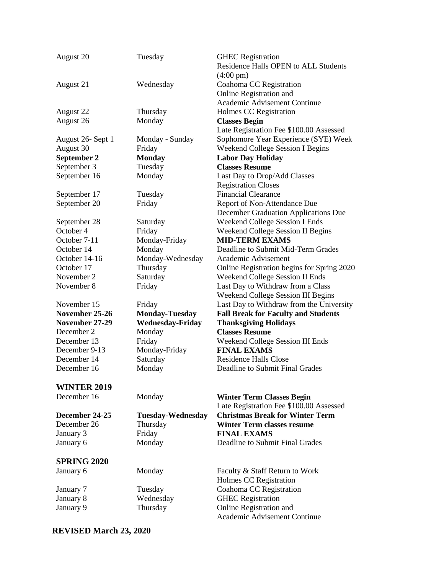| August 20                        | Tuesday                  | <b>GHEC</b> Registration<br>Residence Halls OPEN to ALL Students |
|----------------------------------|--------------------------|------------------------------------------------------------------|
|                                  |                          | $(4:00 \text{ pm})$                                              |
| August 21                        | Wednesday                | Coahoma CC Registration                                          |
|                                  |                          | Online Registration and                                          |
|                                  |                          | Academic Advisement Continue                                     |
| August 22                        | Thursday                 | Holmes CC Registration                                           |
| August 26                        | Monday                   | <b>Classes Begin</b>                                             |
|                                  |                          | Late Registration Fee \$100.00 Assessed                          |
| August 26- Sept 1                | Monday - Sunday          | Sophomore Year Experience (SYE) Week                             |
| August 30                        | Friday                   | <b>Weekend College Session I Begins</b>                          |
| September 2                      | <b>Monday</b>            | <b>Labor Day Holiday</b>                                         |
| September 3                      | Tuesday                  | <b>Classes Resume</b>                                            |
| September 16                     | Monday                   | Last Day to Drop/Add Classes                                     |
|                                  |                          | <b>Registration Closes</b>                                       |
| September 17                     | Tuesday                  | <b>Financial Clearance</b>                                       |
| September 20                     | Friday                   | Report of Non-Attendance Due                                     |
|                                  |                          | December Graduation Applications Due                             |
|                                  | Saturday                 | Weekend College Session I Ends                                   |
| September 28<br>October 4        | Friday                   | Weekend College Session II Begins                                |
| October 7-11                     | Monday-Friday            | <b>MID-TERM EXAMS</b>                                            |
| October 14                       | Monday                   | Deadline to Submit Mid-Term Grades                               |
| October 14-16                    |                          | Academic Advisement                                              |
| October 17                       | Monday-Wednesday         |                                                                  |
| November 2                       | Thursday                 | Online Registration begins for Spring 2020                       |
|                                  | Saturday                 | Weekend College Session II Ends                                  |
| November 8                       | Friday                   | Last Day to Withdraw from a Class                                |
| November 15                      |                          | Weekend College Session III Begins                               |
|                                  | Friday                   | Last Day to Withdraw from the University                         |
| November 25-26<br>November 27-29 | <b>Monday-Tuesday</b>    | <b>Fall Break for Faculty and Students</b>                       |
| December 2                       | <b>Wednesday-Friday</b>  | <b>Thanksgiving Holidays</b><br><b>Classes Resume</b>            |
| December 13                      | Monday                   |                                                                  |
| December 9-13                    | Friday                   | Weekend College Session III Ends<br><b>FINAL EXAMS</b>           |
| December 14                      | Monday-Friday            | <b>Residence Halls Close</b>                                     |
|                                  | Saturday                 |                                                                  |
| December 16                      | Monday                   | Deadline to Submit Final Grades                                  |
| <b>WINTER 2019</b>               |                          |                                                                  |
| December 16                      | Monday                   | <b>Winter Term Classes Begin</b>                                 |
|                                  |                          | Late Registration Fee \$100.00 Assessed                          |
| December 24-25                   | <b>Tuesday-Wednesday</b> | <b>Christmas Break for Winter Term</b>                           |
| December 26                      | Thursday                 | <b>Winter Term classes resume</b>                                |
| January 3                        | Friday                   | <b>FINAL EXAMS</b>                                               |
| January 6                        | Monday                   | Deadline to Submit Final Grades                                  |
|                                  |                          |                                                                  |
| <b>SPRING 2020</b>               |                          |                                                                  |
| January 6                        | Monday                   | Faculty & Staff Return to Work                                   |
|                                  |                          | Holmes CC Registration                                           |
| January 7                        | Tuesday                  | Coahoma CC Registration                                          |
| January 8                        | Wednesday                | <b>GHEC</b> Registration                                         |
| January 9                        | Thursday                 | Online Registration and                                          |
|                                  |                          | Academic Advisement Continue                                     |

**REVISED March 23, 2020**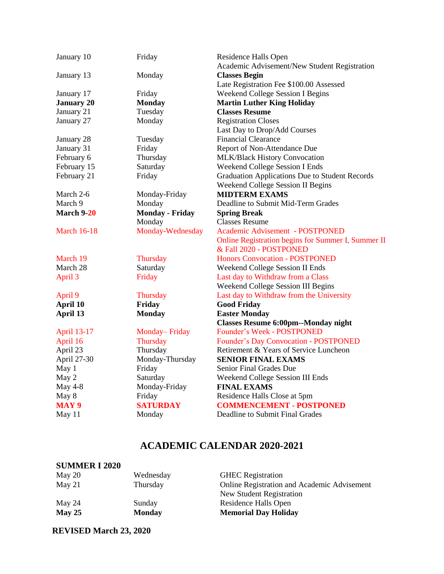| January 10         | Friday                 | Residence Halls Open<br>Academic Advisement/New Student Registration |
|--------------------|------------------------|----------------------------------------------------------------------|
| January 13         | Monday                 | <b>Classes Begin</b>                                                 |
|                    |                        | Late Registration Fee \$100.00 Assessed                              |
| January 17         | Friday                 | <b>Weekend College Session I Begins</b>                              |
| <b>January 20</b>  | <b>Monday</b>          | <b>Martin Luther King Holiday</b>                                    |
| January 21         | Tuesday                | <b>Classes Resume</b>                                                |
| January 27         | Monday                 | <b>Registration Closes</b>                                           |
|                    |                        | Last Day to Drop/Add Courses                                         |
| January 28         | Tuesday                | <b>Financial Clearance</b>                                           |
| January 31         | Friday                 | Report of Non-Attendance Due                                         |
| February 6         | Thursday               | MLK/Black History Convocation                                        |
| February 15        | Saturday               | <b>Weekend College Session I Ends</b>                                |
| February 21        | Friday                 | <b>Graduation Applications Due to Student Records</b>                |
|                    |                        | Weekend College Session II Begins                                    |
| March 2-6          | Monday-Friday          | <b>MIDTERM EXAMS</b>                                                 |
| March 9            | Monday                 | Deadline to Submit Mid-Term Grades                                   |
| March 9-20         | <b>Monday - Friday</b> | <b>Spring Break</b>                                                  |
|                    | Monday                 | <b>Classes Resume</b>                                                |
| <b>March 16-18</b> | Monday-Wednesday       | Academic Advisement - POSTPONED                                      |
|                    |                        | Online Registration begins for Summer I, Summer II                   |
|                    |                        | & Fall 2020 - POSTPONED                                              |
| March 19           | Thursday               | <b>Honors Convocation - POSTPONED</b>                                |
| March 28           | Saturday               | Weekend College Session II Ends                                      |
| April 3            | Friday                 | Last day to Withdraw from a Class                                    |
|                    |                        | Weekend College Session III Begins                                   |
| April 9            | <b>Thursday</b>        | Last day to Withdraw from the University                             |
| April 10           | Friday                 | <b>Good Friday</b>                                                   |
| April 13           | <b>Monday</b>          | <b>Easter Monday</b>                                                 |
|                    |                        | <b>Classes Resume 6:00pm--Monday night</b>                           |
| <b>April 13-17</b> | Monday-Friday          | Founder's Week - POSTPONED                                           |
| April 16           | Thursday               | Founder's Day Convocation - POSTPONED                                |
| April 23           | Thursday               | Retirement & Years of Service Luncheon                               |
| April 27-30        | Monday-Thursday        | <b>SENIOR FINAL EXAMS</b>                                            |
| May 1              | Friday                 | <b>Senior Final Grades Due</b>                                       |
| May 2              | Saturday               | Weekend College Session III Ends                                     |
| <b>May 4-8</b>     | Monday-Friday          | <b>FINAL EXAMS</b>                                                   |
| May 8              | Friday                 | Residence Halls Close at 5pm                                         |
| <b>MAY 9</b>       | <b>SATURDAY</b>        | <b>COMMENCEMENT - POSTPONED</b>                                      |
| May 11             | Monday                 | Deadline to Submit Final Grades                                      |

## **ACADEMIC CALENDAR 2020-2021**

| Wednesday     | <b>GHEC</b> Registration                    |
|---------------|---------------------------------------------|
| Thursday      | Online Registration and Academic Advisement |
|               | New Student Registration                    |
| Sunday        | Residence Halls Open                        |
| <b>Monday</b> | <b>Memorial Day Holiday</b>                 |
|               |                                             |

**REVISED March 23, 2020**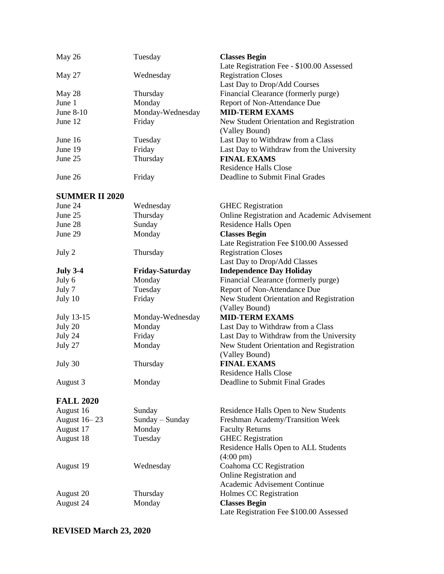| May 26                | Tuesday                | <b>Classes Begin</b><br>Late Registration Fee - \$100.00 Assessed |
|-----------------------|------------------------|-------------------------------------------------------------------|
| May 27                | Wednesday              | <b>Registration Closes</b>                                        |
|                       |                        | Last Day to Drop/Add Courses                                      |
| May 28                | Thursday               | Financial Clearance (formerly purge)                              |
| June 1                | Monday                 | Report of Non-Attendance Due                                      |
| June 8-10             | Monday-Wednesday       | <b>MID-TERM EXAMS</b>                                             |
| June 12               | Friday                 | New Student Orientation and Registration<br>(Valley Bound)        |
| June 16               | Tuesday                | Last Day to Withdraw from a Class                                 |
| June 19               | Friday                 | Last Day to Withdraw from the University                          |
| June 25               | Thursday               | <b>FINAL EXAMS</b>                                                |
|                       |                        | <b>Residence Halls Close</b>                                      |
| June 26               | Friday                 | Deadline to Submit Final Grades                                   |
| <b>SUMMER II 2020</b> |                        |                                                                   |
| June 24               | Wednesday              | <b>GHEC</b> Registration                                          |
| June 25               | Thursday               | Online Registration and Academic Advisement                       |
| June 28               | Sunday                 | Residence Halls Open                                              |
| June 29               | Monday                 | <b>Classes Begin</b>                                              |
|                       |                        | Late Registration Fee \$100.00 Assessed                           |
| July 2                | Thursday               | <b>Registration Closes</b>                                        |
|                       |                        | Last Day to Drop/Add Classes                                      |
| <b>July 3-4</b>       | <b>Friday-Saturday</b> | <b>Independence Day Holiday</b>                                   |
| July 6                | Monday                 | Financial Clearance (formerly purge)                              |
| July 7                | Tuesday                | Report of Non-Attendance Due                                      |
| July 10               | Friday                 | New Student Orientation and Registration                          |
|                       |                        | (Valley Bound)                                                    |
| July 13-15            | Monday-Wednesday       | <b>MID-TERM EXAMS</b>                                             |
| July 20               | Monday                 | Last Day to Withdraw from a Class                                 |
| July 24               | Friday                 | Last Day to Withdraw from the University                          |
| July 27               | Monday                 | New Student Orientation and Registration                          |
|                       |                        | (Valley Bound)                                                    |
| July 30               | Thursday               | <b>FINAL EXAMS</b>                                                |
|                       |                        | Residence Halls Close                                             |
| August 3              | Monday                 | Deadline to Submit Final Grades                                   |
| <b>FALL 2020</b>      |                        |                                                                   |
| August 16             | Sunday                 | Residence Halls Open to New Students                              |
| August 16 - 23        | Sunday – Sunday        | Freshman Academy/Transition Week                                  |
| August 17             | Monday                 | <b>Faculty Returns</b>                                            |
| August 18             | Tuesday                | <b>GHEC</b> Registration                                          |
|                       |                        | Residence Halls Open to ALL Students<br>$(4:00 \text{ pm})$       |
| August 19             | Wednesday              | Coahoma CC Registration                                           |
|                       |                        | Online Registration and                                           |
|                       |                        | Academic Advisement Continue                                      |
| August 20             | Thursday               | Holmes CC Registration                                            |
| August 24             | Monday                 | <b>Classes Begin</b>                                              |
|                       |                        | Late Registration Fee \$100.00 Assessed                           |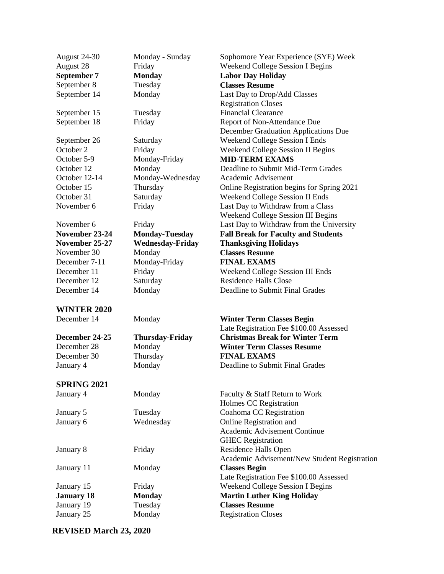| August 24-30       | Monday - Sunday         | Sophomore Year Experience (SYE) Week         |
|--------------------|-------------------------|----------------------------------------------|
| August 28          | Friday                  | Weekend College Session I Begins             |
| September 7        | <b>Monday</b>           | <b>Labor Day Holiday</b>                     |
| September 8        | Tuesday                 | <b>Classes Resume</b>                        |
| September 14       | Monday                  | Last Day to Drop/Add Classes                 |
|                    |                         | <b>Registration Closes</b>                   |
| September 15       | Tuesday                 | <b>Financial Clearance</b>                   |
| September 18       | Friday                  | Report of Non-Attendance Due                 |
|                    |                         | December Graduation Applications Due         |
| September 26       | Saturday                | Weekend College Session I Ends               |
| October 2          | Friday                  | <b>Weekend College Session II Begins</b>     |
| October 5-9        | Monday-Friday           | <b>MID-TERM EXAMS</b>                        |
| October 12         | Monday                  | Deadline to Submit Mid-Term Grades           |
| October 12-14      | Monday-Wednesday        | Academic Advisement                          |
| October 15         | Thursday                | Online Registration begins for Spring 2021   |
| October 31         | Saturday                | Weekend College Session II Ends              |
| November 6         | Friday                  | Last Day to Withdraw from a Class            |
|                    |                         | Weekend College Session III Begins           |
| November 6         | Friday                  | Last Day to Withdraw from the University     |
| November 23-24     | <b>Monday-Tuesday</b>   | <b>Fall Break for Faculty and Students</b>   |
| November 25-27     | <b>Wednesday-Friday</b> | <b>Thanksgiving Holidays</b>                 |
| November 30        | Monday                  | <b>Classes Resume</b>                        |
| December 7-11      | Monday-Friday           | <b>FINAL EXAMS</b>                           |
| December 11        | Friday                  | Weekend College Session III Ends             |
| December 12        | Saturday                | <b>Residence Halls Close</b>                 |
| December 14        | Monday                  | Deadline to Submit Final Grades              |
| <b>WINTER 2020</b> |                         |                                              |
| December 14        | Monday                  | <b>Winter Term Classes Begin</b>             |
|                    |                         | Late Registration Fee \$100.00 Assessed      |
| December 24-25     | <b>Thursday-Friday</b>  | <b>Christmas Break for Winter Term</b>       |
| December 28        | Monday                  | <b>Winter Term Classes Resume</b>            |
| December 30        | Thursday                | <b>FINAL EXAMS</b>                           |
| January 4          | Monday                  | Deadline to Submit Final Grades              |
| <b>SPRING 2021</b> |                         |                                              |
| January 4          | Monday                  | Faculty & Staff Return to Work               |
|                    |                         | Holmes CC Registration                       |
| January 5          | Tuesday                 | Coahoma CC Registration                      |
| January 6          | Wednesday               | Online Registration and                      |
|                    |                         | Academic Advisement Continue                 |
|                    |                         | <b>GHEC</b> Registration                     |
| January 8          | Friday                  | Residence Halls Open                         |
|                    |                         | Academic Advisement/New Student Registration |
| January 11         | Monday                  | <b>Classes Begin</b>                         |
|                    |                         | Late Registration Fee \$100.00 Assessed      |
| January 15         | Friday                  | <b>Weekend College Session I Begins</b>      |
| <b>January 18</b>  | <b>Monday</b>           | <b>Martin Luther King Holiday</b>            |
| January 19         | Tuesday                 | <b>Classes Resume</b>                        |
| January 25         | Monday                  | <b>Registration Closes</b>                   |
|                    |                         |                                              |

**REVISED March 23, 2020**